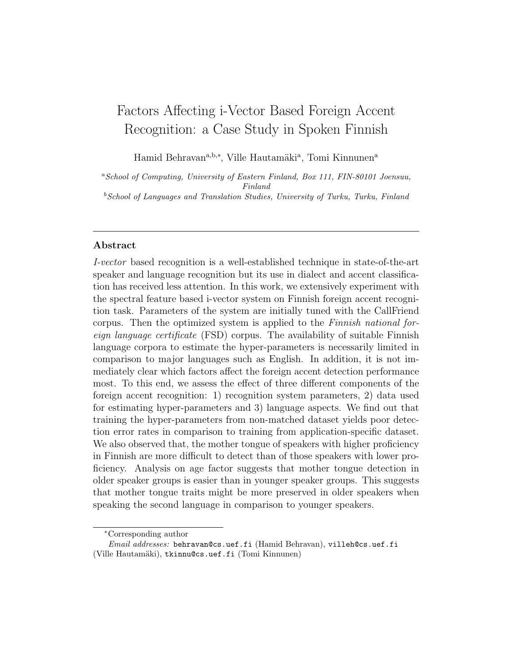# Factors Affecting i-Vector Based Foreign Accent Recognition: a Case Study in Spoken Finnish

Hamid Behravan<sup>a,b,∗</sup>, Ville Hautamäki<sup>a</sup>, Tomi Kinnunen<sup>a</sup>

 ${}^aSchool$  of Computing, University of Eastern Finland, Box 111, FIN-80101 Joensuu, Finland  $b$  School of Languages and Translation Studies, University of Turku, Turku, Finland

# Abstract

I-vector based recognition is a well-established technique in state-of-the-art speaker and language recognition but its use in dialect and accent classification has received less attention. In this work, we extensively experiment with the spectral feature based i-vector system on Finnish foreign accent recognition task. Parameters of the system are initially tuned with the CallFriend corpus. Then the optimized system is applied to the Finnish national foreign language certificate (FSD) corpus. The availability of suitable Finnish language corpora to estimate the hyper-parameters is necessarily limited in comparison to major languages such as English. In addition, it is not immediately clear which factors affect the foreign accent detection performance most. To this end, we assess the effect of three different components of the foreign accent recognition: 1) recognition system parameters, 2) data used for estimating hyper-parameters and 3) language aspects. We find out that training the hyper-parameters from non-matched dataset yields poor detection error rates in comparison to training from application-specific dataset. We also observed that, the mother tongue of speakers with higher proficiency in Finnish are more difficult to detect than of those speakers with lower proficiency. Analysis on age factor suggests that mother tongue detection in older speaker groups is easier than in younger speaker groups. This suggests that mother tongue traits might be more preserved in older speakers when speaking the second language in comparison to younger speakers.

<sup>∗</sup>Corresponding author

Email addresses: behravan@cs.uef.fi (Hamid Behravan), villeh@cs.uef.fi (Ville Hautamäki), tkinnu@cs.uef.fi (Tomi Kinnunen)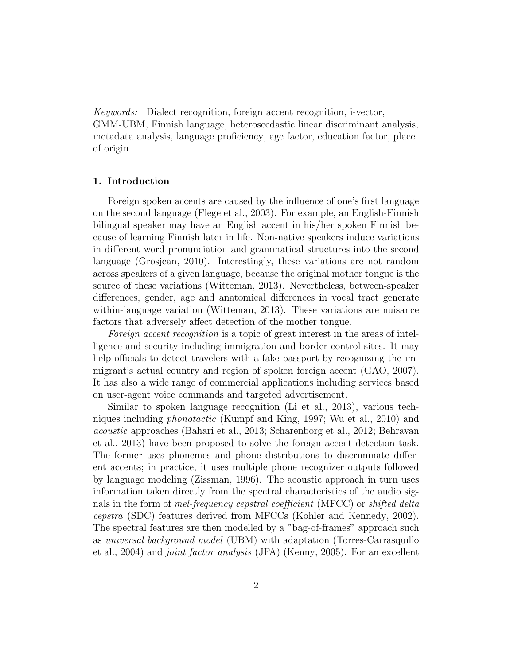Keywords: Dialect recognition, foreign accent recognition, i-vector, GMM-UBM, Finnish language, heteroscedastic linear discriminant analysis, metadata analysis, language proficiency, age factor, education factor, place of origin.

# 1. Introduction

Foreign spoken accents are caused by the influence of one's first language on the second language [\(Flege et al., 2003\)](#page-26-0). For example, an English-Finnish bilingual speaker may have an English accent in his/her spoken Finnish because of learning Finnish later in life. Non-native speakers induce variations in different word pronunciation and grammatical structures into the second language [\(Grosjean, 2010\)](#page-26-1). Interestingly, these variations are not random across speakers of a given language, because the original mother tongue is the source of these variations [\(Witteman, 2013\)](#page-28-0). Nevertheless, between-speaker differences, gender, age and anatomical differences in vocal tract generate within-language variation [\(Witteman, 2013\)](#page-28-0). These variations are nuisance factors that adversely affect detection of the mother tongue.

Foreign accent recognition is a topic of great interest in the areas of intelligence and security including immigration and border control sites. It may help officials to detect travelers with a fake passport by recognizing the immigrant's actual country and region of spoken foreign accent [\(GAO, 2007\)](#page-26-2). It has also a wide range of commercial applications including services based on user-agent voice commands and targeted advertisement.

Similar to spoken language recognition [\(Li et al., 2013\)](#page-27-0), various techniques including phonotactic [\(Kumpf and King, 1997;](#page-27-1) [Wu et al., 2010\)](#page-29-0) and acoustic approaches [\(Bahari et al., 2013;](#page-24-0) [Scharenborg et al., 2012;](#page-28-1) [Behravan](#page-25-0) [et al., 2013\)](#page-25-0) have been proposed to solve the foreign accent detection task. The former uses phonemes and phone distributions to discriminate different accents; in practice, it uses multiple phone recognizer outputs followed by language modeling [\(Zissman, 1996\)](#page-29-1). The acoustic approach in turn uses information taken directly from the spectral characteristics of the audio signals in the form of mel-frequency cepstral coefficient (MFCC) or shifted delta cepstra (SDC) features derived from MFCCs [\(Kohler and Kennedy, 2002\)](#page-27-2). The spectral features are then modelled by a "bag-of-frames" approach such as universal background model (UBM) with adaptation [\(Torres-Carrasquillo](#page-28-2) [et al., 2004\)](#page-28-2) and joint factor analysis (JFA) [\(Kenny, 2005\)](#page-27-3). For an excellent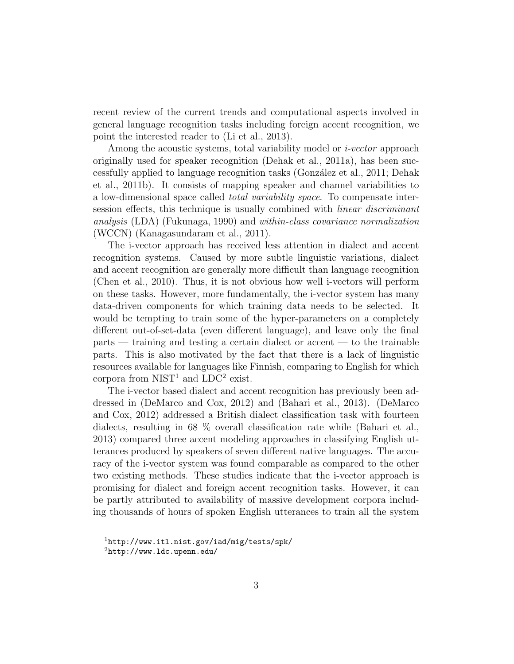recent review of the current trends and computational aspects involved in general language recognition tasks including foreign accent recognition, we point the interested reader to [\(Li et al., 2013\)](#page-27-0).

Among the acoustic systems, total variability model or *i-vector* approach originally used for speaker recognition [\(Dehak et al., 2011a\)](#page-25-1), has been successfully applied to language recognition tasks [\(Gonz´alez et al., 2011;](#page-26-3) [Dehak](#page-25-2) [et al., 2011b\)](#page-25-2). It consists of mapping speaker and channel variabilities to a low-dimensional space called total variability space. To compensate intersession effects, this technique is usually combined with linear discriminant analysis (LDA) [\(Fukunaga, 1990\)](#page-26-4) and within-class covariance normalization (WCCN) [\(Kanagasundaram et al., 2011\)](#page-27-4).

The i-vector approach has received less attention in dialect and accent recognition systems. Caused by more subtle linguistic variations, dialect and accent recognition are generally more difficult than language recognition [\(Chen et al., 2010\)](#page-25-3). Thus, it is not obvious how well i-vectors will perform on these tasks. However, more fundamentally, the i-vector system has many data-driven components for which training data needs to be selected. It would be tempting to train some of the hyper-parameters on a completely different out-of-set-data (even different language), and leave only the final parts — training and testing a certain dialect or accent — to the trainable parts. This is also motivated by the fact that there is a lack of linguistic resources available for languages like Finnish, comparing to English for which corpora from  $NIST<sup>1</sup>$  $NIST<sup>1</sup>$  $NIST<sup>1</sup>$  and  $LDC<sup>2</sup>$  $LDC<sup>2</sup>$  $LDC<sup>2</sup>$  exist.

The i-vector based dialect and accent recognition has previously been addressed in [\(DeMarco and Cox, 2012\)](#page-26-5) and [\(Bahari et al., 2013\)](#page-24-0). [\(DeMarco](#page-26-5) [and Cox, 2012\)](#page-26-5) addressed a British dialect classification task with fourteen dialects, resulting in 68 % overall classification rate while [\(Bahari et al.,](#page-24-0) [2013\)](#page-24-0) compared three accent modeling approaches in classifying English utterances produced by speakers of seven different native languages. The accuracy of the i-vector system was found comparable as compared to the other two existing methods. These studies indicate that the i-vector approach is promising for dialect and foreign accent recognition tasks. However, it can be partly attributed to availability of massive development corpora including thousands of hours of spoken English utterances to train all the system

<span id="page-2-0"></span><sup>1</sup><http://www.itl.nist.gov/iad/mig/tests/spk/>

<span id="page-2-1"></span> $^{2}$ <http://www.ldc.upenn.edu/>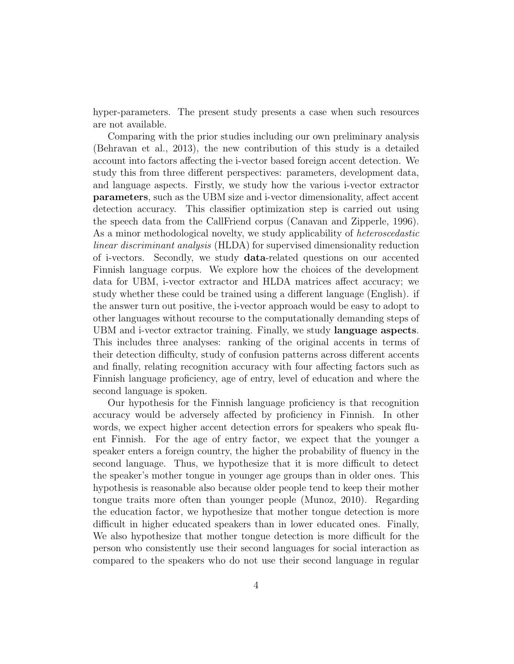hyper-parameters. The present study presents a case when such resources are not available.

Comparing with the prior studies including our own preliminary analysis [\(Behravan et al., 2013\)](#page-25-0), the new contribution of this study is a detailed account into factors affecting the i-vector based foreign accent detection. We study this from three different perspectives: parameters, development data, and language aspects. Firstly, we study how the various i-vector extractor parameters, such as the UBM size and i-vector dimensionality, affect accent detection accuracy. This classifier optimization step is carried out using the speech data from the CallFriend corpus [\(Canavan and Zipperle, 1996\)](#page-25-4). As a minor methodological novelty, we study applicability of heteroscedastic linear discriminant analysis (HLDA) for supervised dimensionality reduction of i-vectors. Secondly, we study data-related questions on our accented Finnish language corpus. We explore how the choices of the development data for UBM, i-vector extractor and HLDA matrices affect accuracy; we study whether these could be trained using a different language (English). if the answer turn out positive, the i-vector approach would be easy to adopt to other languages without recourse to the computationally demanding steps of UBM and i-vector extractor training. Finally, we study language aspects. This includes three analyses: ranking of the original accents in terms of their detection difficulty, study of confusion patterns across different accents and finally, relating recognition accuracy with four affecting factors such as Finnish language proficiency, age of entry, level of education and where the second language is spoken.

Our hypothesis for the Finnish language proficiency is that recognition accuracy would be adversely affected by proficiency in Finnish. In other words, we expect higher accent detection errors for speakers who speak fluent Finnish. For the age of entry factor, we expect that the younger a speaker enters a foreign country, the higher the probability of fluency in the second language. Thus, we hypothesize that it is more difficult to detect the speaker's mother tongue in younger age groups than in older ones. This hypothesis is reasonable also because older people tend to keep their mother tongue traits more often than younger people [\(Munoz, 2010\)](#page-28-3). Regarding the education factor, we hypothesize that mother tongue detection is more difficult in higher educated speakers than in lower educated ones. Finally, We also hypothesize that mother tongue detection is more difficult for the person who consistently use their second languages for social interaction as compared to the speakers who do not use their second language in regular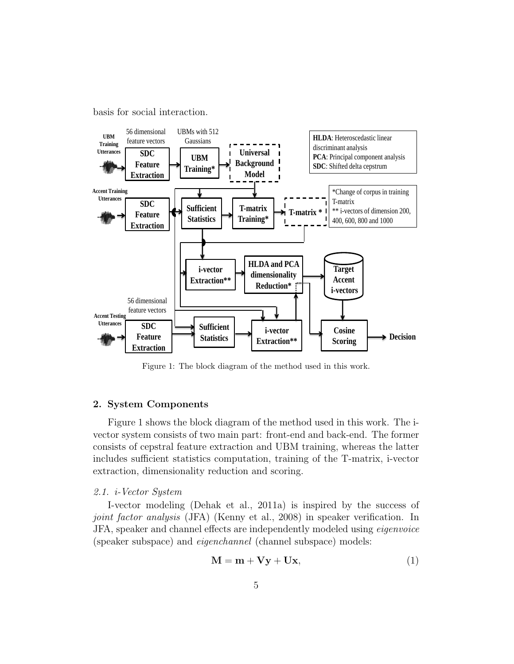basis for social interaction.



Figure 1: The block diagram of the method used in this work.

# 2. System Components

Figure 1 shows the block diagram of the method used in this work. The ivector system consists of two main part: front-end and back-end. The former consists of cepstral feature extraction and UBM training, whereas the latter includes sufficient statistics computation, training of the T-matrix, i-vector extraction, dimensionality reduction and scoring.

## 2.1. i-Vector System

I-vector modeling [\(Dehak et al., 2011a\)](#page-25-1) is inspired by the success of joint factor analysis (JFA) [\(Kenny et al., 2008\)](#page-27-5) in speaker verification. In JFA, speaker and channel effects are independently modeled using *eigenvoice* (speaker subspace) and eigenchannel (channel subspace) models:

$$
\mathbf{M} = \mathbf{m} + \mathbf{V}\mathbf{y} + \mathbf{U}\mathbf{x},\tag{1}
$$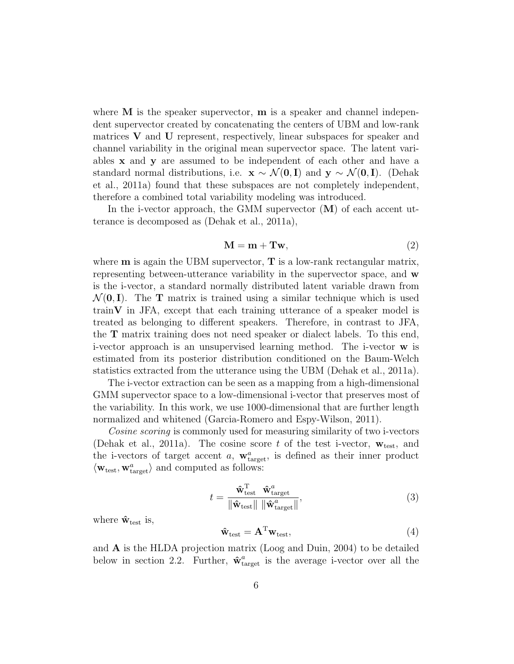where  $M$  is the speaker supervector,  $m$  is a speaker and channel independent supervector created by concatenating the centers of UBM and low-rank matrices V and U represent, respectively, linear subspaces for speaker and channel variability in the original mean supervector space. The latent variables x and y are assumed to be independent of each other and have a standard normal distributions, i.e.  $\mathbf{x} \sim \mathcal{N}(\mathbf{0}, \mathbf{I})$  and  $\mathbf{y} \sim \mathcal{N}(\mathbf{0}, \mathbf{I})$ . [\(Dehak](#page-25-1) [et al., 2011a\)](#page-25-1) found that these subspaces are not completely independent, therefore a combined total variability modeling was introduced.

In the i-vector approach, the GMM supervector  $(M)$  of each accent utterance is decomposed as [\(Dehak et al., 2011a\)](#page-25-1),

$$
\mathbf{M} = \mathbf{m} + \mathbf{T}\mathbf{w},\tag{2}
$$

where  $\bf{m}$  is again the UBM supervector,  $\bf{T}$  is a low-rank rectangular matrix, representing between-utterance variability in the supervector space, and w is the i-vector, a standard normally distributed latent variable drawn from  $\mathcal{N}(\mathbf{0}, \mathbf{I})$ . The **T** matrix is trained using a similar technique which is used train  $V$  in JFA, except that each training utterance of a speaker model is treated as belonging to different speakers. Therefore, in contrast to JFA, the T matrix training does not need speaker or dialect labels. To this end, i-vector approach is an unsupervised learning method. The i-vector w is estimated from its posterior distribution conditioned on the Baum-Welch statistics extracted from the utterance using the UBM [\(Dehak et al., 2011a\)](#page-25-1).

The i-vector extraction can be seen as a mapping from a high-dimensional GMM supervector space to a low-dimensional i-vector that preserves most of the variability. In this work, we use 1000-dimensional that are further length normalized and whitened [\(Garcia-Romero and Espy-Wilson, 2011\)](#page-26-6).

Cosine scoring is commonly used for measuring similarity of two i-vectors [\(Dehak et al., 2011a\)](#page-25-1). The cosine score t of the test i-vector,  $w_{test}$ , and the i-vectors of target accent a,  $\mathbf{w}_{\text{target}}^a$ , is defined as their inner product  $\langle \mathbf{w}_{\text{test}}, \mathbf{w}^a_{\text{target}} \rangle$  and computed as follows:

$$
t = \frac{\hat{\mathbf{w}}_{\text{test}}^{\text{T}} \quad \hat{\mathbf{w}}_{\text{target}}^a}{\|\hat{\mathbf{w}}_{\text{test}}\| \ \|\hat{\mathbf{w}}_{\text{target}}^a\|},\tag{3}
$$

where  $\hat{\mathbf{w}}_{\text{test}}$  is,

<span id="page-5-0"></span>
$$
\hat{\mathbf{w}}_{\text{test}} = \mathbf{A}^{\text{T}} \mathbf{w}_{\text{test}},\tag{4}
$$

and A is the HLDA projection matrix [\(Loog and Duin, 2004\)](#page-27-6) to be detailed below in section 2.2. Further,  $\hat{\mathbf{w}}_{\text{target}}^a$  is the average i-vector over all the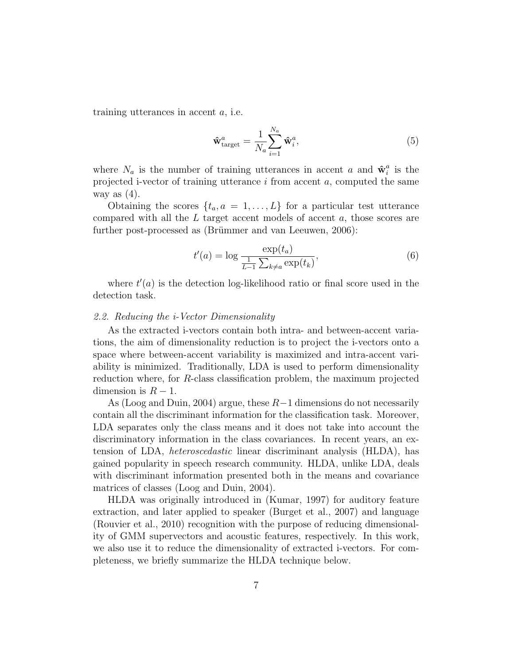training utterances in accent  $a$ , i.e.

<span id="page-6-0"></span>
$$
\hat{\mathbf{w}}_{\text{target}}^{a} = \frac{1}{N_a} \sum_{i=1}^{N_a} \hat{\mathbf{w}}_i^{a},\tag{5}
$$

where  $N_a$  is the number of training utterances in accent a and  $\hat{\mathbf{w}}_i^a$  $\frac{a}{i}$  is the projected i-vector of training utterance  $i$  from accent  $a$ , computed the same way as  $(4)$ .

Obtaining the scores  $\{t_a, a = 1, \ldots, L\}$  for a particular test utterance compared with all the  $L$  target accent models of accent  $a$ , those scores are further post-processed as (Brümmer and van Leeuwen, 2006):

<span id="page-6-1"></span>
$$
t'(a) = \log \frac{\exp(t_a)}{\frac{1}{L-1} \sum_{k \neq a} \exp(t_k)},\tag{6}
$$

where  $t'(a)$  is the detection log-likelihood ratio or final score used in the detection task.

#### 2.2. Reducing the i-Vector Dimensionality

As the extracted i-vectors contain both intra- and between-accent variations, the aim of dimensionality reduction is to project the i-vectors onto a space where between-accent variability is maximized and intra-accent variability is minimized. Traditionally, LDA is used to perform dimensionality reduction where, for R-class classification problem, the maximum projected dimension is  $R-1$ .

As [\(Loog and Duin, 2004\)](#page-27-6) argue, these  $R-1$  dimensions do not necessarily contain all the discriminant information for the classification task. Moreover, LDA separates only the class means and it does not take into account the discriminatory information in the class covariances. In recent years, an extension of LDA, heteroscedastic linear discriminant analysis (HLDA), has gained popularity in speech research community. HLDA, unlike LDA, deals with discriminant information presented both in the means and covariance matrices of classes [\(Loog and Duin, 2004\)](#page-27-6).

HLDA was originally introduced in [\(Kumar, 1997\)](#page-27-7) for auditory feature extraction, and later applied to speaker [\(Burget et al., 2007\)](#page-25-6) and language [\(Rouvier et al., 2010\)](#page-28-4) recognition with the purpose of reducing dimensionality of GMM supervectors and acoustic features, respectively. In this work, we also use it to reduce the dimensionality of extracted i-vectors. For completeness, we briefly summarize the HLDA technique below.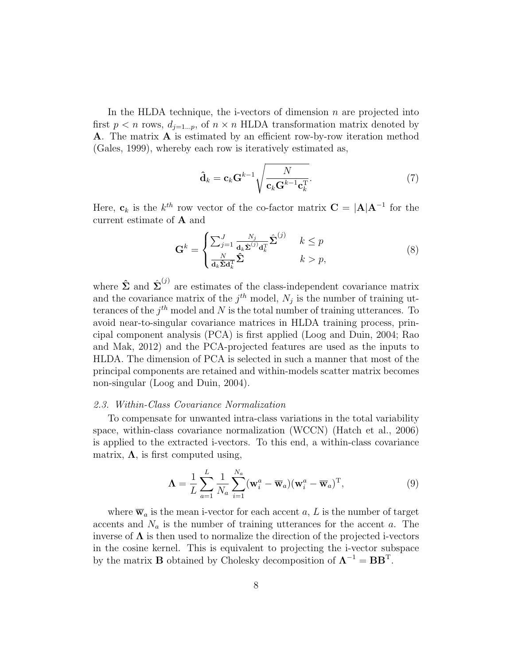In the HLDA technique, the i-vectors of dimension  $n$  are projected into first  $p < n$  rows,  $d_{j=1...p}$ , of  $n \times n$  HLDA transformation matrix denoted by A. The matrix A is estimated by an efficient row-by-row iteration method [\(Gales, 1999\)](#page-26-7), whereby each row is iteratively estimated as,

$$
\hat{\mathbf{d}}_k = \mathbf{c}_k \mathbf{G}^{k-1} \sqrt{\frac{N}{\mathbf{c}_k \mathbf{G}^{k-1} \mathbf{c}_k^{\mathrm{T}}}}.\tag{7}
$$

Here,  $\mathbf{c}_k$  is the  $k^{th}$  row vector of the co-factor matrix  $\mathbf{C} = |\mathbf{A}|\mathbf{A}^{-1}$  for the current estimate of A and

$$
\mathbf{G}^{k} = \begin{cases} \sum_{j=1}^{J} \frac{N_{j}}{\mathbf{d}_{k} \hat{\mathbf{\Sigma}}^{(j)} \mathbf{d}_{k}^{\mathrm{T}}} \hat{\mathbf{\Sigma}}^{(j)} & k \leq p \\ \frac{N}{\mathbf{d}_{k} \hat{\mathbf{\Sigma}} \mathbf{d}_{k}^{\mathrm{T}}} \hat{\mathbf{\Sigma}} & k > p, \end{cases}
$$
(8)

where  $\hat{\Sigma}$  and  $\hat{\Sigma}^{(j)}$  are estimates of the class-independent covariance matrix and the covariance matrix of the  $j<sup>th</sup>$  model,  $N_j$  is the number of training utterances of the  $j<sup>th</sup>$  model and N is the total number of training utterances. To avoid near-to-singular covariance matrices in HLDA training process, principal component analysis (PCA) is first applied [\(Loog and Duin, 2004;](#page-27-6) [Rao](#page-28-5) [and Mak, 2012\)](#page-28-5) and the PCA-projected features are used as the inputs to HLDA. The dimension of PCA is selected in such a manner that most of the principal components are retained and within-models scatter matrix becomes non-singular [\(Loog and Duin, 2004\)](#page-27-6).

#### 2.3. Within-Class Covariance Normalization

To compensate for unwanted intra-class variations in the total variability space, within-class covariance normalization (WCCN) [\(Hatch et al., 2006\)](#page-26-8) is applied to the extracted i-vectors. To this end, a within-class covariance matrix,  $\Lambda$ , is first computed using,

$$
\mathbf{\Lambda} = \frac{1}{L} \sum_{a=1}^{L} \frac{1}{N_a} \sum_{i=1}^{N_a} (\mathbf{w}_i^a - \overline{\mathbf{w}}_a) (\mathbf{w}_i^a - \overline{\mathbf{w}}_a)^{\mathrm{T}},
$$
(9)

where  $\overline{\mathbf{w}}_a$  is the mean i-vector for each accent a, L is the number of target accents and  $N_a$  is the number of training utterances for the accent a. The inverse of  $\Lambda$  is then used to normalize the direction of the projected i-vectors in the cosine kernel. This is equivalent to projecting the i-vector subspace by the matrix **B** obtained by Cholesky decomposition of  $\mathbf{\Lambda}^{-1} = \mathbf{B} \mathbf{B}^{T}$ .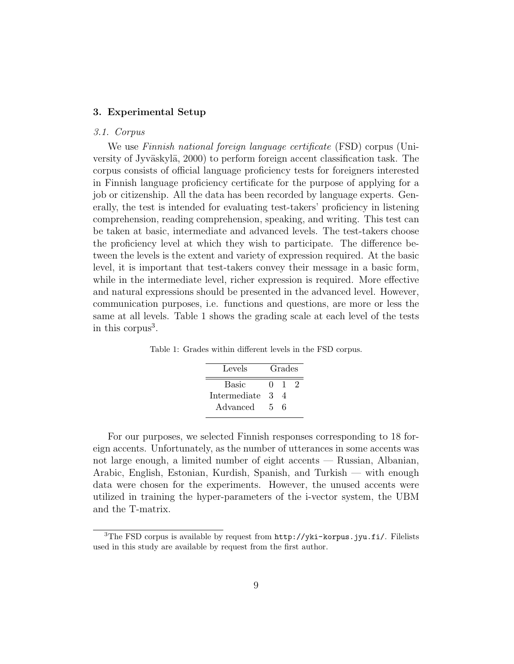## 3. Experimental Setup

# 3.1. Corpus

We use Finnish national foreign language certificate (FSD) corpus [\(Uni](#page-28-6)versity of Jyväskylä, 2000) to perform foreign accent classification task. The corpus consists of official language proficiency tests for foreigners interested in Finnish language proficiency certificate for the purpose of applying for a job or citizenship. All the data has been recorded by language experts. Generally, the test is intended for evaluating test-takers' proficiency in listening comprehension, reading comprehension, speaking, and writing. This test can be taken at basic, intermediate and advanced levels. The test-takers choose the proficiency level at which they wish to participate. The difference between the levels is the extent and variety of expression required. At the basic level, it is important that test-takers convey their message in a basic form, while in the intermediate level, richer expression is required. More effective and natural expressions should be presented in the advanced level. However, communication purposes, i.e. functions and questions, are more or less the same at all levels. Table [1](#page-8-0) shows the grading scale at each level of the tests in this corpus<sup>[3](#page-8-1)</sup>.

<span id="page-8-0"></span>Table 1: Grades within different levels in the FSD corpus.

| Levels       |   | Grades |  |
|--------------|---|--------|--|
| Basic        |   |        |  |
| Intermediate | 3 |        |  |
| Advanced     | 5 | б      |  |

For our purposes, we selected Finnish responses corresponding to 18 foreign accents. Unfortunately, as the number of utterances in some accents was not large enough, a limited number of eight accents — Russian, Albanian, Arabic, English, Estonian, Kurdish, Spanish, and Turkish — with enough data were chosen for the experiments. However, the unused accents were utilized in training the hyper-parameters of the i-vector system, the UBM and the T-matrix.

<span id="page-8-1"></span> $3$ The FSD corpus is available by request from  $http://yki-korpus.jyu.fi/$ . Filelists used in this study are available by request from the first author.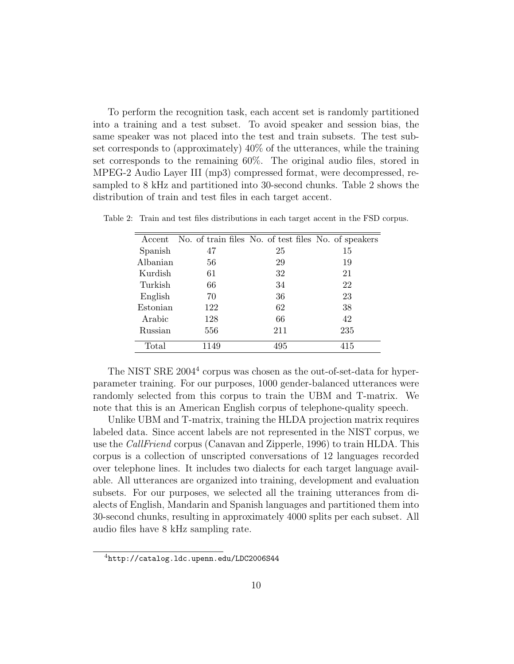To perform the recognition task, each accent set is randomly partitioned into a training and a test subset. To avoid speaker and session bias, the same speaker was not placed into the test and train subsets. The test subset corresponds to (approximately) 40% of the utterances, while the training set corresponds to the remaining 60%. The original audio files, stored in MPEG-2 Audio Layer III (mp3) compressed format, were decompressed, resampled to 8 kHz and partitioned into 30-second chunks. Table [2](#page-9-0) shows the distribution of train and test files in each target accent.

| Accent   | No. of train files No. of test files No. of speakers |     |     |
|----------|------------------------------------------------------|-----|-----|
| Spanish  | 47                                                   | 25  | 15  |
| Albanian | 56                                                   | 29  | 19  |
| Kurdish  | 61                                                   | 32  | 21  |
| Turkish  | 66                                                   | 34  | 22  |
| English  | 70                                                   | 36  | 23  |
| Estonian | 122                                                  | 62  | 38  |
| Arabic   | 128                                                  | 66  | 42  |
| Russian  | 556                                                  | 211 | 235 |
| Total    | 1149                                                 | 495 | 415 |

<span id="page-9-0"></span>Table 2: Train and test files distributions in each target accent in the FSD corpus.

The NIST SRE 200[4](#page-9-1)<sup>4</sup> corpus was chosen as the out-of-set-data for hyperparameter training. For our purposes, 1000 gender-balanced utterances were randomly selected from this corpus to train the UBM and T-matrix. We note that this is an American English corpus of telephone-quality speech.

Unlike UBM and T-matrix, training the HLDA projection matrix requires labeled data. Since accent labels are not represented in the NIST corpus, we use the *CallFriend* corpus [\(Canavan and Zipperle, 1996\)](#page-25-4) to train HLDA. This corpus is a collection of unscripted conversations of 12 languages recorded over telephone lines. It includes two dialects for each target language available. All utterances are organized into training, development and evaluation subsets. For our purposes, we selected all the training utterances from dialects of English, Mandarin and Spanish languages and partitioned them into 30-second chunks, resulting in approximately 4000 splits per each subset. All audio files have 8 kHz sampling rate.

<span id="page-9-1"></span><sup>4</sup><http://catalog.ldc.upenn.edu/LDC2006S44>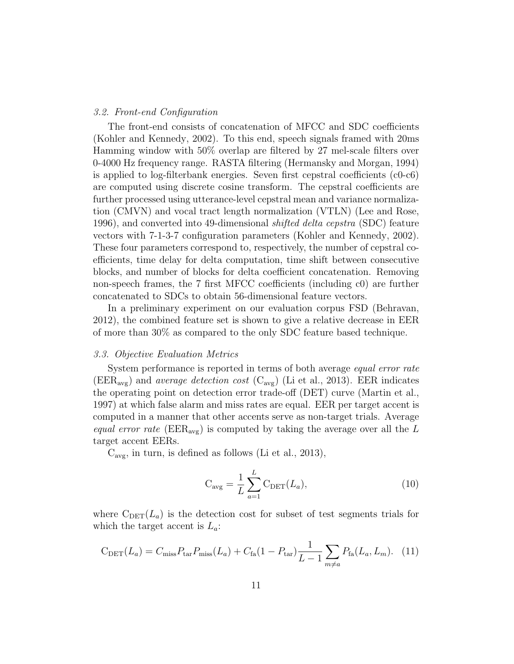## 3.2. Front-end Configuration

The front-end consists of concatenation of MFCC and SDC coefficients [\(Kohler and Kennedy, 2002\)](#page-27-2). To this end, speech signals framed with 20ms Hamming window with 50% overlap are filtered by 27 mel-scale filters over 0-4000 Hz frequency range. RASTA filtering [\(Hermansky and Morgan, 1994\)](#page-26-9) is applied to log-filterbank energies. Seven first cepstral coefficients (c0-c6) are computed using discrete cosine transform. The cepstral coefficients are further processed using utterance-level cepstral mean and variance normalization (CMVN) and vocal tract length normalization (VTLN) [\(Lee and Rose,](#page-27-8) [1996\)](#page-27-8), and converted into 49-dimensional shifted delta cepstra (SDC) feature vectors with 7-1-3-7 configuration parameters [\(Kohler and Kennedy, 2002\)](#page-27-2). These four parameters correspond to, respectively, the number of cepstral coefficients, time delay for delta computation, time shift between consecutive blocks, and number of blocks for delta coefficient concatenation. Removing non-speech frames, the 7 first MFCC coefficients (including c0) are further concatenated to SDCs to obtain 56-dimensional feature vectors.

In a preliminary experiment on our evaluation corpus FSD [\(Behravan,](#page-25-7) [2012\)](#page-25-7), the combined feature set is shown to give a relative decrease in EER of more than 30% as compared to the only SDC feature based technique.

#### 3.3. Objective Evaluation Metrics

System performance is reported in terms of both average equal error rate  $(EER_{avg})$  and *average detection cost*  $(C_{avg})$  [\(Li et al., 2013\)](#page-27-0). EER indicates the operating point on detection error trade-off (DET) curve [\(Martin et al.,](#page-28-7) [1997\)](#page-28-7) at which false alarm and miss rates are equal. EER per target accent is computed in a manner that other accents serve as non-target trials. Average equal error rate ( $EER_{avg}$ ) is computed by taking the average over all the L target accent EERs.

 $C_{\text{avg}}$ , in turn, is defined as follows [\(Li et al., 2013\)](#page-27-0),

$$
C_{avg} = \frac{1}{L} \sum_{a=1}^{L} C_{DET}(L_a), \qquad (10)
$$

where  $C_{\text{DET}}(L_a)$  is the detection cost for subset of test segments trials for which the target accent is  $L_a$ :

$$
C_{\text{DET}}(L_a) = C_{\text{miss}} P_{\text{tar}} P_{\text{miss}}(L_a) + C_{\text{fa}} (1 - P_{\text{tar}}) \frac{1}{L - 1} \sum_{m \neq a} P_{\text{fa}}(L_a, L_m). \tag{11}
$$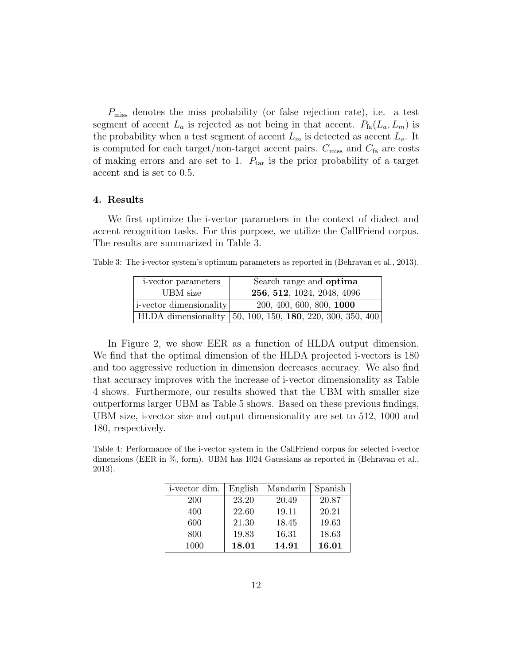$P_{\text{miss}}$  denotes the miss probability (or false rejection rate), i.e. a test segment of accent  $L_a$  is rejected as not being in that accent.  $P_{\text{fa}}(L_a, L_m)$  is the probability when a test segment of accent  $L_m$  is detected as accent  $L_a$ . It is computed for each target/non-target accent pairs.  $C_{\text{miss}}$  and  $C_{\text{fa}}$  are costs of making errors and are set to 1.  $P_{\text{tar}}$  is the prior probability of a target accent and is set to 0.5.

# 4. Results

We first optimize the i-vector parameters in the context of dialect and accent recognition tasks. For this purpose, we utilize the CallFriend corpus. The results are summarized in Table [3.](#page-11-0)

<span id="page-11-0"></span>

| Table 3: The i-vector system's optimum parameters as reported in (Behravan et al., 2013). |  |  |  |  |  |  |  |
|-------------------------------------------------------------------------------------------|--|--|--|--|--|--|--|
|-------------------------------------------------------------------------------------------|--|--|--|--|--|--|--|

| <i>i</i> -vector parameters | Search range and <b>optima</b>                              |
|-----------------------------|-------------------------------------------------------------|
| UBM size                    | 256, 512, 1024, 2048, 4096                                  |
| i-vector dimensionality     | 200, 400, 600, 800, 1000                                    |
|                             | HLDA dimensionality [50, 100, 150, 180, 220, 300, 350, 400] |

In Figure 2, we show EER as a function of HLDA output dimension. We find that the optimal dimension of the HLDA projected i-vectors is 180 and too aggressive reduction in dimension decreases accuracy. We also find that accuracy improves with the increase of i-vector dimensionality as Table [4](#page-11-1) shows. Furthermore, our results showed that the UBM with smaller size outperforms larger UBM as Table [5](#page-12-0) shows. Based on these previous findings, UBM size, i-vector size and output dimensionality are set to 512, 1000 and 180, respectively.

<span id="page-11-1"></span>Table 4: Performance of the i-vector system in the CallFriend corpus for selected i-vector dimensions (EER in %, form). UBM has 1024 Gaussians as reported in [\(Behravan et al.,](#page-25-0) [2013\)](#page-25-0).

| <i>i</i> -vector dim. | English | Mandarin | Spanish |
|-----------------------|---------|----------|---------|
| 200                   | 23.20   | 20.49    | 20.87   |
| 400                   | 22.60   | 19.11    | 20.21   |
| 600                   | 21.30   | 18.45    | 19.63   |
| 800                   | 19.83   | 16.31    | 18.63   |
| 1000                  | 18.01   | 14.91    | 16.01   |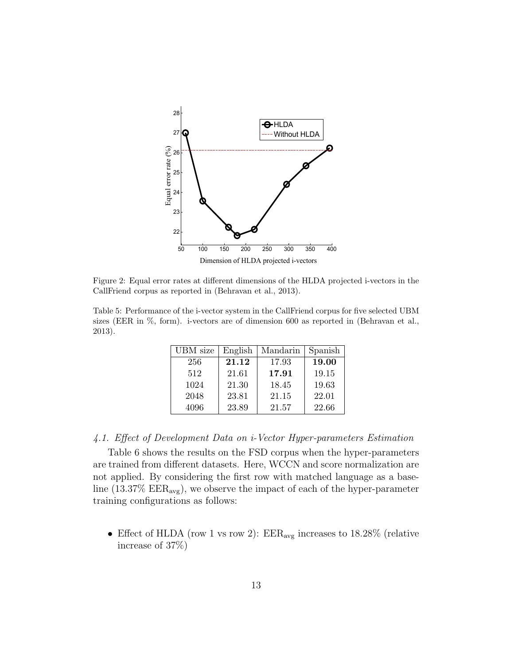

Figure 2: Equal error rates at different dimensions of the HLDA projected i-vectors in the CallFriend corpus as reported in [\(Behravan et al., 2013\)](#page-25-0).

<span id="page-12-0"></span>Table 5: Performance of the i-vector system in the CallFriend corpus for five selected UBM sizes (EER in %, form). i-vectors are of dimension 600 as reported in [\(Behravan et al.,](#page-25-0) [2013\)](#page-25-0).

| UBM size | English | Mandarin | Spanish |
|----------|---------|----------|---------|
| 256      | 21.12   | 17.93    | 19.00   |
| 512      | 21.61   | 17.91    | 19.15   |
| 1024     | 21.30   | 18.45    | 19.63   |
| 2048     | 23.81   | 21.15    | 22.01   |
| 4096     | 23.89   | 21.57    | 22.66   |

# 4.1. Effect of Development Data on i-Vector Hyper-parameters Estimation

Table [6](#page-13-0) shows the results on the FSD corpus when the hyper-parameters are trained from different datasets. Here, WCCN and score normalization are not applied. By considering the first row with matched language as a baseline  $(13.37\% \text{ EER}_{\text{avg}})$ , we observe the impact of each of the hyper-parameter training configurations as follows:

• Effect of HLDA (row 1 vs row 2):  $EER_{avg}$  increases to 18.28% (relative increase of 37%)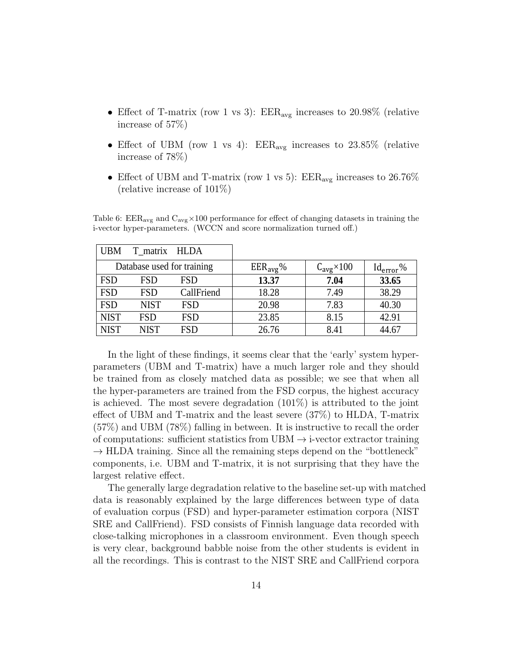- Effect of T-matrix (row 1 vs 3):  $EER_{\text{avg}}$  increases to 20.98% (relative increase of 57%)
- Effect of UBM (row 1 vs 4):  $EER_{avg}$  increases to 23.85% (relative increase of 78%)
- Effect of UBM and T-matrix (row 1 vs 5):  $EER_{\text{avg}}$  increases to 26.76% (relative increase of 101%)

<span id="page-13-0"></span>Table 6:  $EER_{\text{avg}}$  and  $C_{\text{avg}} \times 100$  performance for effect of changing datasets in training the i-vector hyper-parameters. (WCCN and score normalization turned off.)

|             | UBM T_matrix HLDA |                            |               |                      |                     |
|-------------|-------------------|----------------------------|---------------|----------------------|---------------------|
|             |                   | Database used for training | $EER_{avg}\%$ | $C_{avg} \times 100$ | $\rm{Id}_{error}\%$ |
| <b>FSD</b>  | <b>FSD</b>        | <b>FSD</b>                 | 13.37         | 7.04                 | 33.65               |
| <b>FSD</b>  | <b>FSD</b>        | CallFriend                 | 18.28         | 7.49                 | 38.29               |
| <b>FSD</b>  | <b>NIST</b>       | <b>FSD</b>                 | 20.98         | 7.83                 | 40.30               |
| <b>NIST</b> | <b>FSD</b>        | <b>FSD</b>                 | 23.85         | 8.15                 | 42.91               |
| <b>NIST</b> | <b>NIST</b>       | <b>FSD</b>                 | 26.76         | 8.41                 | 44.67               |

In the light of these findings, it seems clear that the 'early' system hyperparameters (UBM and T-matrix) have a much larger role and they should be trained from as closely matched data as possible; we see that when all the hyper-parameters are trained from the FSD corpus, the highest accuracy is achieved. The most severe degradation  $(101\%)$  is attributed to the joint effect of UBM and T-matrix and the least severe (37%) to HLDA, T-matrix (57%) and UBM (78%) falling in between. It is instructive to recall the order of computations: sufficient statistics from UBM  $\rightarrow$  i-vector extractor training  $\rightarrow$  HLDA training. Since all the remaining steps depend on the "bottleneck" components, i.e. UBM and T-matrix, it is not surprising that they have the largest relative effect.

The generally large degradation relative to the baseline set-up with matched data is reasonably explained by the large differences between type of data of evaluation corpus (FSD) and hyper-parameter estimation corpora (NIST SRE and CallFriend). FSD consists of Finnish language data recorded with close-talking microphones in a classroom environment. Even though speech is very clear, background babble noise from the other students is evident in all the recordings. This is contrast to the NIST SRE and CallFriend corpora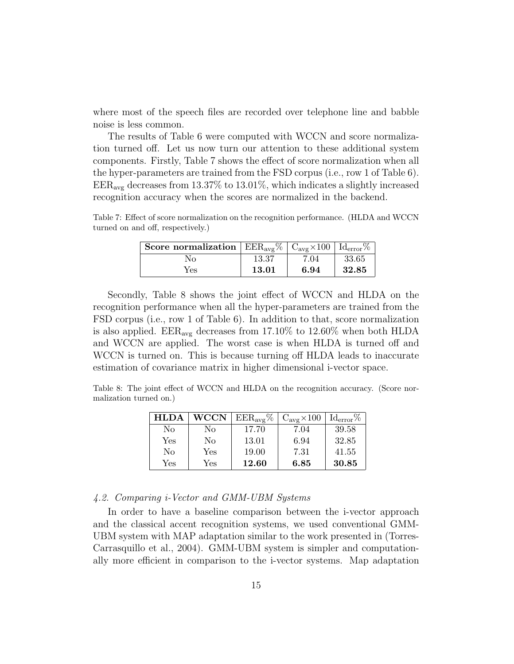where most of the speech files are recorded over telephone line and babble noise is less common.

The results of Table [6](#page-13-0) were computed with WCCN and score normalization turned off. Let us now turn our attention to these additional system components. Firstly, Table [7](#page-14-0) shows the effect of score normalization when all the hyper-parameters are trained from the FSD corpus (i.e., row 1 of Table [6\)](#page-13-0).  $EER_{avg}$  decreases from 13.37% to 13.01%, which indicates a slightly increased recognition accuracy when the scores are normalized in the backend.

<span id="page-14-0"></span>Table 7: Effect of score normalization on the recognition performance. (HLDA and WCCN turned on and off, respectively.)

| Score normalization   $\text{EER}_{\text{avg}}\%$   $\text{C}_{\text{avg}}\times 100$ |       |      | $\operatorname{Id}_{\text{error}}\%$ |
|---------------------------------------------------------------------------------------|-------|------|--------------------------------------|
| NO.                                                                                   | 13.37 | 7.04 | 33.65                                |
| Yes                                                                                   | 13.01 | 6.94 | 32.85                                |

Secondly, Table [8](#page-14-1) shows the joint effect of WCCN and HLDA on the recognition performance when all the hyper-parameters are trained from the FSD corpus (i.e., row 1 of Table [6\)](#page-13-0). In addition to that, score normalization is also applied.  $EER_{avg}$  decreases from 17.10% to 12.60% when both HLDA and WCCN are applied. The worst case is when HLDA is turned off and WCCN is turned on. This is because turning off HLDA leads to inaccurate estimation of covariance matrix in higher dimensional i-vector space.

<span id="page-14-1"></span>Table 8: The joint effect of WCCN and HLDA on the recognition accuracy. (Score normalization turned on.)

| <b>HLDA</b> | WCCN | $EER_{avg}\%$ | $C_{\text{avg}} \times 100$ | $\operatorname{Id}_{\text{error}}\%$ |
|-------------|------|---------------|-----------------------------|--------------------------------------|
| No          | No   | 17.70         | 7.04                        | 39.58                                |
| Yes         | No   | 13.01         | 6.94                        | 32.85                                |
| No          | Yes  | 19.00         | 7.31                        | 41.55                                |
| Yes         | Yes  | 12.60         | 6.85                        | 30.85                                |

# 4.2. Comparing i-Vector and GMM-UBM Systems

In order to have a baseline comparison between the i-vector approach and the classical accent recognition systems, we used conventional GMM-UBM system with MAP adaptation similar to the work presented in [\(Torres-](#page-28-2)[Carrasquillo et al., 2004\)](#page-28-2). GMM-UBM system is simpler and computationally more efficient in comparison to the i-vector systems. Map adaptation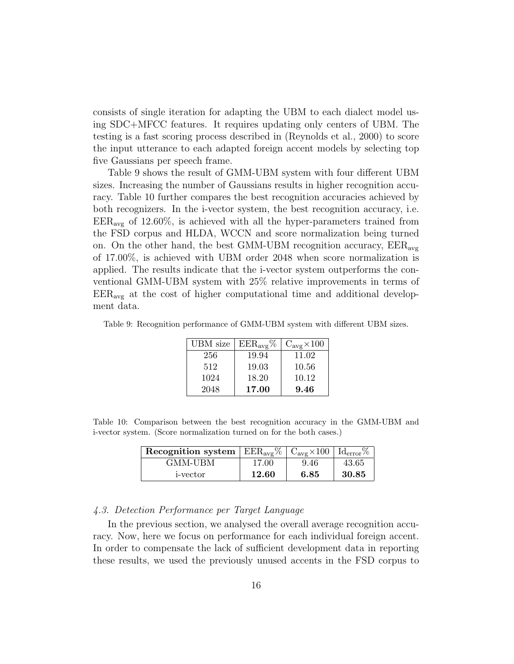consists of single iteration for adapting the UBM to each dialect model using SDC+MFCC features. It requires updating only centers of UBM. The testing is a fast scoring process described in [\(Reynolds et al., 2000\)](#page-28-8) to score the input utterance to each adapted foreign accent models by selecting top five Gaussians per speech frame.

Table [9](#page-15-0) shows the result of GMM-UBM system with four different UBM sizes. Increasing the number of Gaussians results in higher recognition accuracy. Table [10](#page-15-1) further compares the best recognition accuracies achieved by both recognizers. In the i-vector system, the best recognition accuracy, i.e.  $EER_{\text{avg}}$  of 12.60%, is achieved with all the hyper-parameters trained from the FSD corpus and HLDA, WCCN and score normalization being turned on. On the other hand, the best GMM-UBM recognition accuracy,  $EER_{avg}$ of 17.00%, is achieved with UBM order 2048 when score normalization is applied. The results indicate that the i-vector system outperforms the conventional GMM-UBM system with 25% relative improvements in terms of  $EER_{\text{avg}}$  at the cost of higher computational time and additional development data.

<span id="page-15-0"></span>Table 9: Recognition performance of GMM-UBM system with different UBM sizes.

| UBM size | $EER_{avg}\%$ | $C_{\text{avg}} \times 100$ |
|----------|---------------|-----------------------------|
| 256      | 19.94         | 11.02                       |
| 512      | 19.03         | 10.56                       |
| 1024     | 18.20         | 10.12                       |
| 2048     | 17.00         | 9.46                        |

<span id="page-15-1"></span>Table 10: Comparison between the best recognition accuracy in the GMM-UBM and i-vector system. (Score normalization turned on for the both cases.)

| <b>Recognition system</b>   $EER_{avg}\%$   $C_{avg}\times 100$   $Id_{error}\%$ |       |      |       |
|----------------------------------------------------------------------------------|-------|------|-------|
| GMM-UBM                                                                          | 17.00 | 9.46 | 43.65 |
| <i>i</i> -vector                                                                 | 12.60 | 6.85 | 30.85 |

# 4.3. Detection Performance per Target Language

In the previous section, we analysed the overall average recognition accuracy. Now, here we focus on performance for each individual foreign accent. In order to compensate the lack of sufficient development data in reporting these results, we used the previously unused accents in the FSD corpus to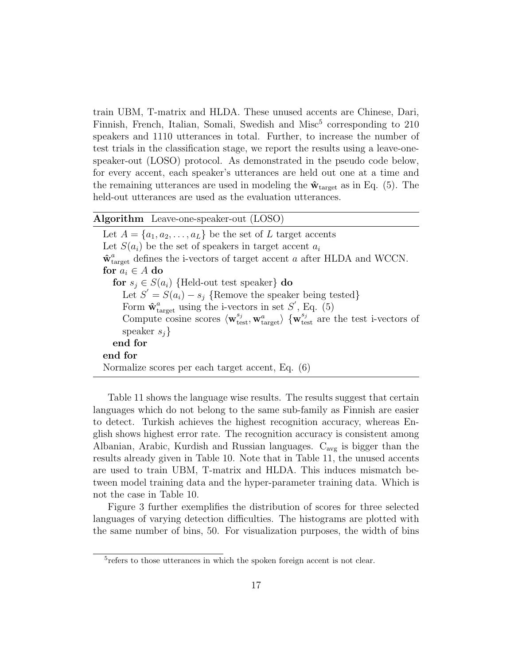train UBM, T-matrix and HLDA. These unused accents are Chinese, Dari, Finnish, French, Italian, Somali, Swedish and Misc<sup>[5](#page-16-0)</sup> corresponding to 210 speakers and 1110 utterances in total. Further, to increase the number of test trials in the classification stage, we report the results using a leave-onespeaker-out (LOSO) protocol. As demonstrated in the pseudo code below, for every accent, each speaker's utterances are held out one at a time and the remaining utterances are used in modeling the  $\hat{\mathbf{w}}_{\text{target}}$  as in Eq. [\(5\)](#page-6-0). The held-out utterances are used as the evaluation utterances.

#### Algorithm Leave-one-speaker-out (LOSO)

Let  $A = \{a_1, a_2, \ldots, a_L\}$  be the set of L target accents Let  $S(a_i)$  be the set of speakers in target accent  $a_i$  $\hat{\mathbf{w}}_{\text{target}}^a$  defines the i-vectors of target accent a after HLDA and WCCN. for  $a_i \in A$  do for  $s_i \in S(a_i)$  {Held-out test speaker} do Let  $S' = S(a_i) - s_j$  {Remove the speaker being tested} Form  $\hat{\mathbf{w}}_{\text{target}}^a$  using the i-vectors in set  $S'$ , Eq. [\(5\)](#page-6-0) Compute cosine scores  $\langle \mathbf{w}_{\text{test}}^{s_j}, \mathbf{w}_{\text{target}}^a \rangle$   $\{ \mathbf{w}_{\text{test}}^{s_j} \text{ are the test i-vectors of } \}$ speaker  $s_j$ end for end for Normalize scores per each target accent, Eq. [\(6\)](#page-6-1)

Table [11](#page-17-0) shows the language wise results. The results suggest that certain languages which do not belong to the same sub-family as Finnish are easier to detect. Turkish achieves the highest recognition accuracy, whereas English shows highest error rate. The recognition accuracy is consistent among Albanian, Arabic, Kurdish and Russian languages.  $C_{\text{avg}}$  is bigger than the results already given in Table [10.](#page-15-1) Note that in Table [11,](#page-17-0) the unused accents are used to train UBM, T-matrix and HLDA. This induces mismatch between model training data and the hyper-parameter training data. Which is not the case in Table [10.](#page-15-1)

Figure [3](#page-18-0) further exemplifies the distribution of scores for three selected languages of varying detection difficulties. The histograms are plotted with the same number of bins, 50. For visualization purposes, the width of bins

<span id="page-16-0"></span><sup>5</sup> refers to those utterances in which the spoken foreign accent is not clear.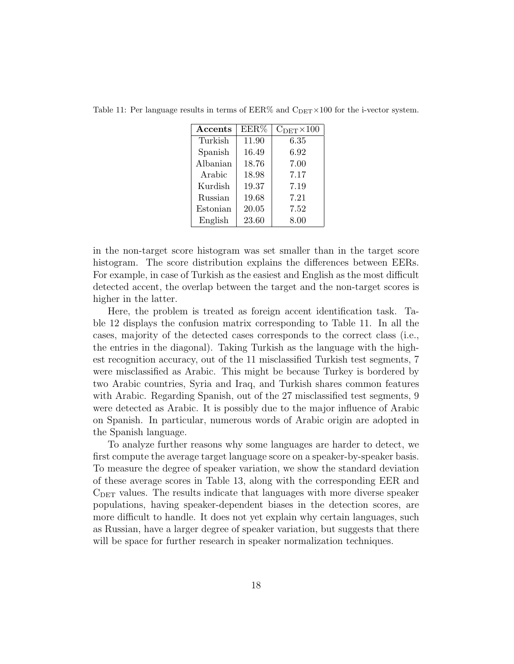| <b>Accents</b> | EER%  | $C_{\text{DET}} \times 100$ |
|----------------|-------|-----------------------------|
| Turkish        | 11.90 | 6.35                        |
| Spanish        | 16.49 | 6.92                        |
| Albanian       | 18.76 | 7.00                        |
| Arabic         | 18.98 | 7.17                        |
| Kurdish        | 19.37 | 7.19                        |
| Russian        | 19.68 | 7.21                        |
| Estonian       | 20.05 | 7.52                        |
| English        | 23.60 | 8.00                        |

<span id="page-17-0"></span>Table 11: Per language results in terms of  $EER\%$  and  $C_{DET}\times 100$  for the i-vector system.

in the non-target score histogram was set smaller than in the target score histogram. The score distribution explains the differences between EERs. For example, in case of Turkish as the easiest and English as the most difficult detected accent, the overlap between the target and the non-target scores is higher in the latter.

Here, the problem is treated as foreign accent identification task. Table [12](#page-19-0) displays the confusion matrix corresponding to Table [11.](#page-17-0) In all the cases, majority of the detected cases corresponds to the correct class (i.e., the entries in the diagonal). Taking Turkish as the language with the highest recognition accuracy, out of the 11 misclassified Turkish test segments, 7 were misclassified as Arabic. This might be because Turkey is bordered by two Arabic countries, Syria and Iraq, and Turkish shares common features with Arabic. Regarding Spanish, out of the 27 misclassified test segments, 9 were detected as Arabic. It is possibly due to the major influence of Arabic on Spanish. In particular, numerous words of Arabic origin are adopted in the Spanish language.

To analyze further reasons why some languages are harder to detect, we first compute the average target language score on a speaker-by-speaker basis. To measure the degree of speaker variation, we show the standard deviation of these average scores in Table [13,](#page-19-1) along with the corresponding EER and  $C<sub>DET</sub>$  values. The results indicate that languages with more diverse speaker populations, having speaker-dependent biases in the detection scores, are more difficult to handle. It does not yet explain why certain languages, such as Russian, have a larger degree of speaker variation, but suggests that there will be space for further research in speaker normalization techniques.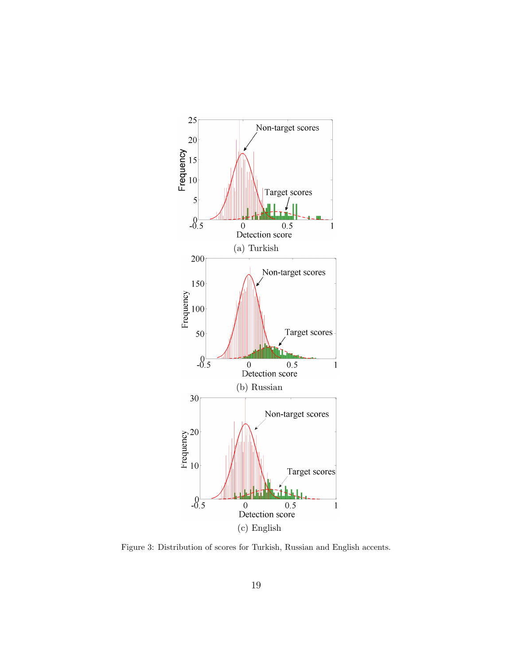<span id="page-18-0"></span>

Figure 3: Distribution of scores for Turkish, Russian and English accents.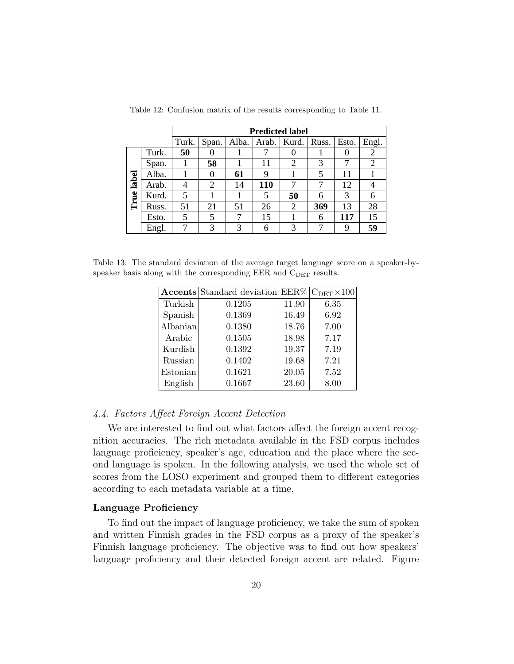|               |       | <b>Predicted label</b> |       |       |            |                |       |       |                |  |
|---------------|-------|------------------------|-------|-------|------------|----------------|-------|-------|----------------|--|
|               |       | Turk.                  | Span. | Alba. |            | Arab. Kurd.    | Russ. | Esto. | Engl.          |  |
| label<br>True | Turk. | 50                     |       |       |            |                |       |       |                |  |
|               | Span. |                        | 58    |       | 11         | $\overline{2}$ | 3     |       | $\overline{2}$ |  |
|               | Alba. |                        | 0     | 61    | 9          |                | 5     | 11    |                |  |
|               | Arab. | 4                      | 2     | 14    | <b>110</b> |                |       | 12    |                |  |
|               | Kurd. | 5                      |       |       | 5          | 50             | 6     | 3     | 6              |  |
|               | Russ. | 51                     | 21    | 51    | 26         | $\overline{2}$ | 369   | 13    | 28             |  |
|               | Esto. | 5                      | 5     | 7     | 15         |                | 6     | 117   | 15             |  |
|               | Engl. |                        | 3     | 3     | 6          | 3              |       |       | 59             |  |

<span id="page-19-0"></span>Table 12: Confusion matrix of the results corresponding to Table [11.](#page-17-0)

<span id="page-19-1"></span>Table 13: The standard deviation of the average target language score on a speaker-byspeaker basis along with the corresponding EER and  $C_{\text{DET}}$  results.

|          | <b>Accents</b> Standard deviation $EER\% CDEF/N} \times 100$ |       |      |
|----------|--------------------------------------------------------------|-------|------|
| Turkish  | 0.1205                                                       | 11.90 | 6.35 |
| Spanish  | 0.1369                                                       | 16.49 | 6.92 |
| Albanian | 0.1380                                                       | 18.76 | 7.00 |
| Arabic   | 0.1505                                                       | 18.98 | 7.17 |
| Kurdish  | 0.1392                                                       | 19.37 | 7.19 |
| Russian  | 0.1402                                                       | 19.68 | 7.21 |
| Estonian | 0.1621                                                       | 20.05 | 7.52 |
| English  | 0.1667                                                       | 23.60 | 8.00 |

# 4.4. Factors Affect Foreign Accent Detection

We are interested to find out what factors affect the foreign accent recognition accuracies. The rich metadata available in the FSD corpus includes language proficiency, speaker's age, education and the place where the second language is spoken. In the following analysis, we used the whole set of scores from the LOSO experiment and grouped them to different categories according to each metadata variable at a time.

# Language Proficiency

To find out the impact of language proficiency, we take the sum of spoken and written Finnish grades in the FSD corpus as a proxy of the speaker's Finnish language proficiency. The objective was to find out how speakers' language proficiency and their detected foreign accent are related. Figure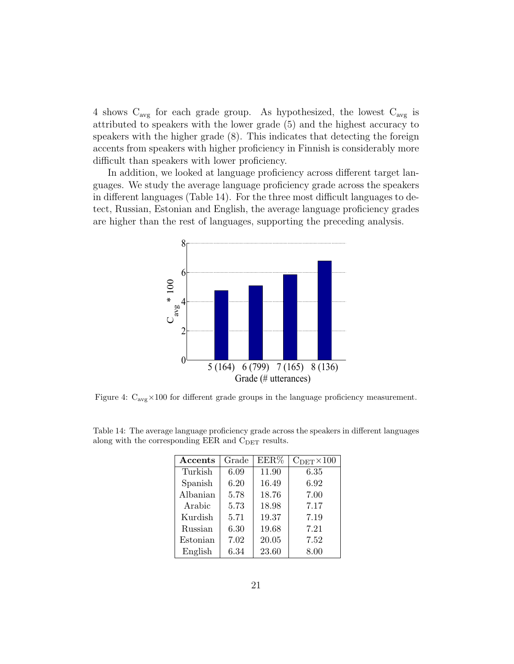[4](#page-20-0) shows  $C_{\text{avg}}$  for each grade group. As hypothesized, the lowest  $C_{\text{avg}}$  is attributed to speakers with the lower grade (5) and the highest accuracy to speakers with the higher grade (8). This indicates that detecting the foreign accents from speakers with higher proficiency in Finnish is considerably more difficult than speakers with lower proficiency.

<span id="page-20-0"></span>In addition, we looked at language proficiency across different target languages. We study the average language proficiency grade across the speakers in different languages (Table [14\)](#page-20-1). For the three most difficult languages to detect, Russian, Estonian and English, the average language proficiency grades are higher than the rest of languages, supporting the preceding analysis.



Figure 4:  $C_{\text{avg}} \times 100$  for different grade groups in the language proficiency measurement.

| Accents  | Grade | EER%  | $C_{\text{DET}} \times 100$ |
|----------|-------|-------|-----------------------------|
| Turkish  | 6.09  | 11.90 | 6.35                        |
| Spanish  | 6.20  | 16.49 | 6.92                        |
| Albanian | 5.78  | 18.76 | 7.00                        |
| Arabic   | 5.73  | 18.98 | 7.17                        |
| Kurdish  | 5.71  | 19.37 | 7.19                        |
| Russian  | 6.30  | 19.68 | 7.21                        |
| Estonian | 7.02  | 20.05 | 7.52                        |
| English  | 6.34  | 23.60 | 8.00                        |

<span id="page-20-1"></span>Table 14: The average language proficiency grade across the speakers in different languages along with the corresponding EER and  $\rm{C}_{DET}$  results.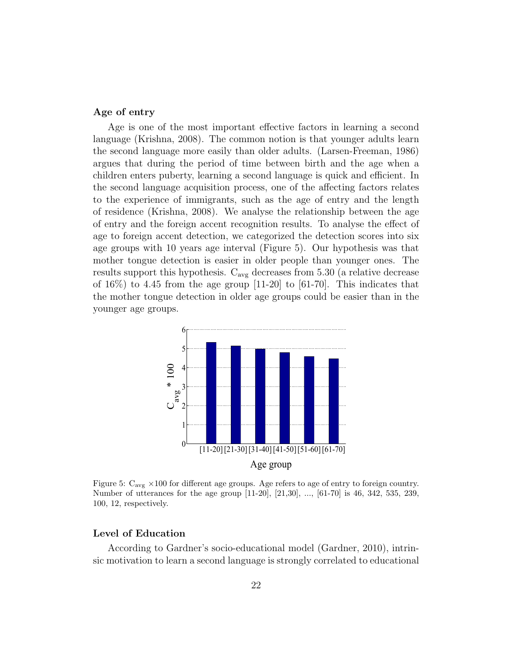#### Age of entry

Age is one of the most important effective factors in learning a second language [\(Krishna, 2008\)](#page-27-9). The common notion is that younger adults learn the second language more easily than older adults. [\(Larsen-Freeman, 1986\)](#page-27-10) argues that during the period of time between birth and the age when a children enters puberty, learning a second language is quick and efficient. In the second language acquisition process, one of the affecting factors relates to the experience of immigrants, such as the age of entry and the length of residence [\(Krishna, 2008\)](#page-27-9). We analyse the relationship between the age of entry and the foreign accent recognition results. To analyse the effect of age to foreign accent detection, we categorized the detection scores into six age groups with 10 years age interval (Figure [5\)](#page-21-0). Our hypothesis was that mother tongue detection is easier in older people than younger ones. The results support this hypothesis.  $C_{\text{avg}}$  decreases from 5.30 (a relative decrease of  $16\%$ ) to 4.45 from the age group [11-20] to [61-70]. This indicates that the mother tongue detection in older age groups could be easier than in the younger age groups.

<span id="page-21-0"></span>

Figure 5:  $C_{\text{avg}} \times 100$  for different age groups. Age refers to age of entry to foreign country. Number of utterances for the age group [11-20], [21,30], ..., [61-70] is 46, 342, 535, 239, 100, 12, respectively.

## Level of Education

According to Gardner's socio-educational model [\(Gardner, 2010\)](#page-26-10), intrinsic motivation to learn a second language is strongly correlated to educational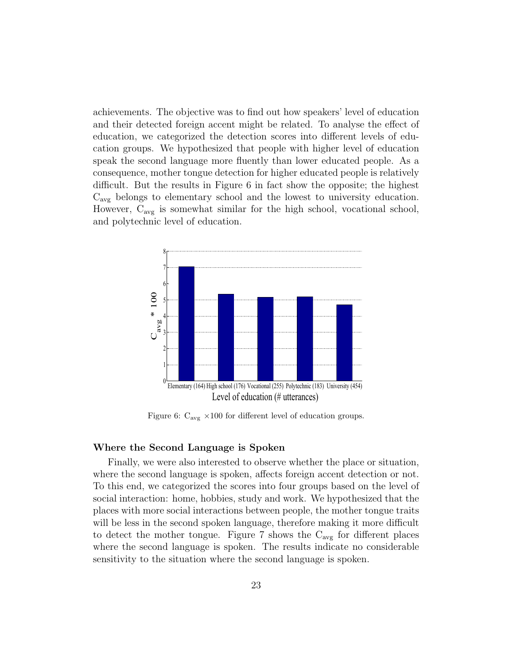achievements. The objective was to find out how speakers' level of education and their detected foreign accent might be related. To analyse the effect of education, we categorized the detection scores into different levels of education groups. We hypothesized that people with higher level of education speak the second language more fluently than lower educated people. As a consequence, mother tongue detection for higher educated people is relatively difficult. But the results in Figure [6](#page-22-0) in fact show the opposite; the highest  $C_{\text{avg}}$  belongs to elementary school and the lowest to university education. However,  $C_{\text{avg}}$  is somewhat similar for the high school, vocational school, and polytechnic level of education.

<span id="page-22-0"></span>

Figure 6:  $C_{\text{avg}} \times 100$  for different level of education groups.

# Where the Second Language is Spoken

Finally, we were also interested to observe whether the place or situation, where the second language is spoken, affects foreign accent detection or not. To this end, we categorized the scores into four groups based on the level of social interaction: home, hobbies, study and work. We hypothesized that the places with more social interactions between people, the mother tongue traits will be less in the second spoken language, therefore making it more difficult to detect the mother tongue. Figure [7](#page-23-0) shows the  $C_{\text{avg}}$  for different places where the second language is spoken. The results indicate no considerable sensitivity to the situation where the second language is spoken.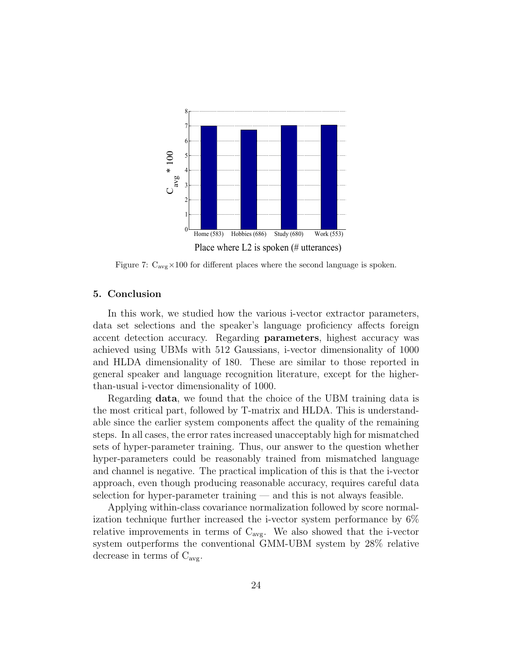<span id="page-23-0"></span>

Figure 7:  $C_{\text{avg}} \times 100$  for different places where the second language is spoken.

## 5. Conclusion

In this work, we studied how the various i-vector extractor parameters, data set selections and the speaker's language proficiency affects foreign accent detection accuracy. Regarding parameters, highest accuracy was achieved using UBMs with 512 Gaussians, i-vector dimensionality of 1000 and HLDA dimensionality of 180. These are similar to those reported in general speaker and language recognition literature, except for the higherthan-usual i-vector dimensionality of 1000.

Regarding data, we found that the choice of the UBM training data is the most critical part, followed by T-matrix and HLDA. This is understandable since the earlier system components affect the quality of the remaining steps. In all cases, the error rates increased unacceptably high for mismatched sets of hyper-parameter training. Thus, our answer to the question whether hyper-parameters could be reasonably trained from mismatched language and channel is negative. The practical implication of this is that the i-vector approach, even though producing reasonable accuracy, requires careful data selection for hyper-parameter training — and this is not always feasible.

Applying within-class covariance normalization followed by score normalization technique further increased the i-vector system performance by 6% relative improvements in terms of  $C_{\text{avg}}$ . We also showed that the i-vector system outperforms the conventional GMM-UBM system by 28% relative decrease in terms of  $C_{\text{avg}}$ .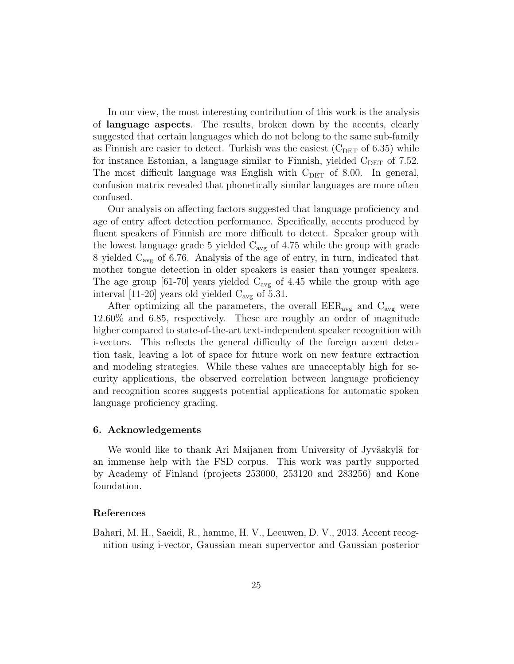In our view, the most interesting contribution of this work is the analysis of language aspects. The results, broken down by the accents, clearly suggested that certain languages which do not belong to the same sub-family as Finnish are easier to detect. Turkish was the easiest  $(C_{DET}$  of 6.35) while for instance Estonian, a language similar to Finnish, yielded  $C_{\text{DET}}$  of 7.52. The most difficult language was English with  $C_{\text{DET}}$  of 8.00. In general, confusion matrix revealed that phonetically similar languages are more often confused.

Our analysis on affecting factors suggested that language proficiency and age of entry affect detection performance. Specifically, accents produced by fluent speakers of Finnish are more difficult to detect. Speaker group with the lowest language grade 5 yielded  $C_{\text{avg}}$  of 4.75 while the group with grade 8 yielded Cavg of 6.76. Analysis of the age of entry, in turn, indicated that mother tongue detection in older speakers is easier than younger speakers. The age group [61-70] years yielded  $C_{\text{avg}}$  of 4.45 while the group with age interval [11-20] years old yielded  $C_{\text{avg}}$  of 5.31.

After optimizing all the parameters, the overall  $EER_{avg}$  and  $C_{avg}$  were 12.60% and 6.85, respectively. These are roughly an order of magnitude higher compared to state-of-the-art text-independent speaker recognition with i-vectors. This reflects the general difficulty of the foreign accent detection task, leaving a lot of space for future work on new feature extraction and modeling strategies. While these values are unacceptably high for security applications, the observed correlation between language proficiency and recognition scores suggests potential applications for automatic spoken language proficiency grading.

## 6. Acknowledgements

We would like to thank Ari Maijanen from University of Jyväskylä for an immense help with the FSD corpus. This work was partly supported by Academy of Finland (projects 253000, 253120 and 283256) and Kone foundation.

## References

<span id="page-24-0"></span>Bahari, M. H., Saeidi, R., hamme, H. V., Leeuwen, D. V., 2013. Accent recognition using i-vector, Gaussian mean supervector and Gaussian posterior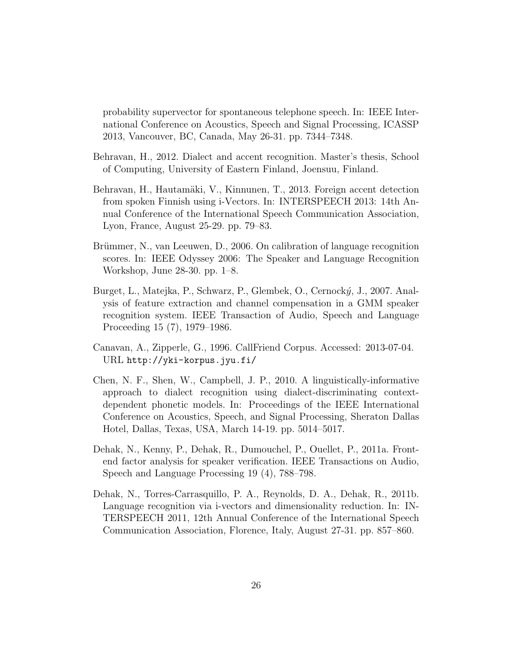probability supervector for spontaneous telephone speech. In: IEEE International Conference on Acoustics, Speech and Signal Processing, ICASSP 2013, Vancouver, BC, Canada, May 26-31. pp. 7344–7348.

- <span id="page-25-7"></span>Behravan, H., 2012. Dialect and accent recognition. Master's thesis, School of Computing, University of Eastern Finland, Joensuu, Finland.
- <span id="page-25-0"></span>Behravan, H., Hautamäki, V., Kinnunen, T., 2013. Foreign accent detection from spoken Finnish using i-Vectors. In: INTERSPEECH 2013: 14th Annual Conference of the International Speech Communication Association, Lyon, France, August 25-29. pp. 79–83.
- <span id="page-25-5"></span>Brümmer, N., van Leeuwen, D., 2006. On calibration of language recognition scores. In: IEEE Odyssey 2006: The Speaker and Language Recognition Workshop, June 28-30. pp. 1–8.
- <span id="page-25-6"></span>Burget, L., Matejka, P., Schwarz, P., Glembek, O., Cernock $\acute{u}$ , J., 2007. Analysis of feature extraction and channel compensation in a GMM speaker recognition system. IEEE Transaction of Audio, Speech and Language Proceeding 15 (7), 1979–1986.
- <span id="page-25-4"></span>Canavan, A., Zipperle, G., 1996. CallFriend Corpus. Accessed: 2013-07-04. URL <http://yki-korpus.jyu.fi/>
- <span id="page-25-3"></span>Chen, N. F., Shen, W., Campbell, J. P., 2010. A linguistically-informative approach to dialect recognition using dialect-discriminating contextdependent phonetic models. In: Proceedings of the IEEE International Conference on Acoustics, Speech, and Signal Processing, Sheraton Dallas Hotel, Dallas, Texas, USA, March 14-19. pp. 5014–5017.
- <span id="page-25-1"></span>Dehak, N., Kenny, P., Dehak, R., Dumouchel, P., Ouellet, P., 2011a. Frontend factor analysis for speaker verification. IEEE Transactions on Audio, Speech and Language Processing 19 (4), 788–798.
- <span id="page-25-2"></span>Dehak, N., Torres-Carrasquillo, P. A., Reynolds, D. A., Dehak, R., 2011b. Language recognition via i-vectors and dimensionality reduction. In: IN-TERSPEECH 2011, 12th Annual Conference of the International Speech Communication Association, Florence, Italy, August 27-31. pp. 857–860.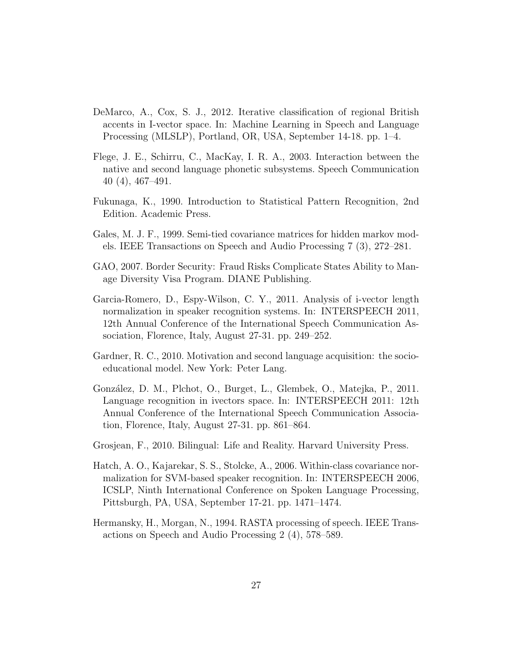- <span id="page-26-5"></span>DeMarco, A., Cox, S. J., 2012. Iterative classification of regional British accents in I-vector space. In: Machine Learning in Speech and Language Processing (MLSLP), Portland, OR, USA, September 14-18. pp. 1–4.
- <span id="page-26-0"></span>Flege, J. E., Schirru, C., MacKay, I. R. A., 2003. Interaction between the native and second language phonetic subsystems. Speech Communication 40 (4), 467–491.
- <span id="page-26-4"></span>Fukunaga, K., 1990. Introduction to Statistical Pattern Recognition, 2nd Edition. Academic Press.
- <span id="page-26-7"></span>Gales, M. J. F., 1999. Semi-tied covariance matrices for hidden markov models. IEEE Transactions on Speech and Audio Processing 7 (3), 272–281.
- <span id="page-26-2"></span>GAO, 2007. Border Security: Fraud Risks Complicate States Ability to Manage Diversity Visa Program. DIANE Publishing.
- <span id="page-26-6"></span>Garcia-Romero, D., Espy-Wilson, C. Y., 2011. Analysis of i-vector length normalization in speaker recognition systems. In: INTERSPEECH 2011, 12th Annual Conference of the International Speech Communication Association, Florence, Italy, August 27-31. pp. 249–252.
- <span id="page-26-10"></span>Gardner, R. C., 2010. Motivation and second language acquisition: the socioeducational model. New York: Peter Lang.
- <span id="page-26-3"></span>Gonz´alez, D. M., Plchot, O., Burget, L., Glembek, O., Matejka, P., 2011. Language recognition in ivectors space. In: INTERSPEECH 2011: 12th Annual Conference of the International Speech Communication Association, Florence, Italy, August 27-31. pp. 861–864.
- <span id="page-26-1"></span>Grosjean, F., 2010. Bilingual: Life and Reality. Harvard University Press.
- <span id="page-26-8"></span>Hatch, A. O., Kajarekar, S. S., Stolcke, A., 2006. Within-class covariance normalization for SVM-based speaker recognition. In: INTERSPEECH 2006, ICSLP, Ninth International Conference on Spoken Language Processing, Pittsburgh, PA, USA, September 17-21. pp. 1471–1474.
- <span id="page-26-9"></span>Hermansky, H., Morgan, N., 1994. RASTA processing of speech. IEEE Transactions on Speech and Audio Processing 2 (4), 578–589.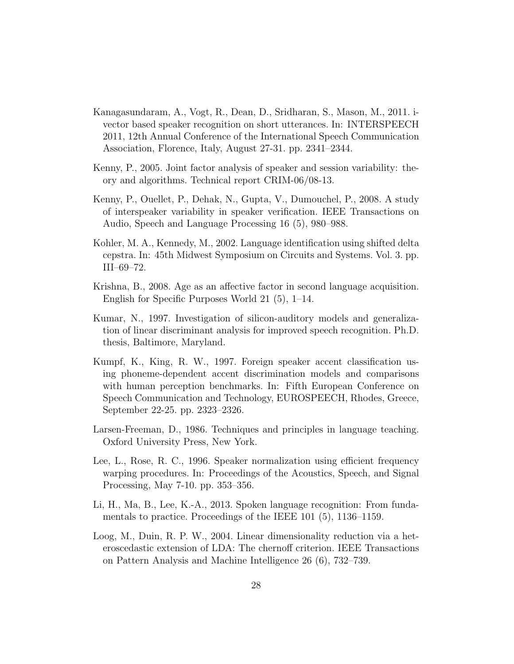- <span id="page-27-4"></span>Kanagasundaram, A., Vogt, R., Dean, D., Sridharan, S., Mason, M., 2011. ivector based speaker recognition on short utterances. In: INTERSPEECH 2011, 12th Annual Conference of the International Speech Communication Association, Florence, Italy, August 27-31. pp. 2341–2344.
- <span id="page-27-3"></span>Kenny, P., 2005. Joint factor analysis of speaker and session variability: theory and algorithms. Technical report CRIM-06/08-13.
- <span id="page-27-5"></span>Kenny, P., Ouellet, P., Dehak, N., Gupta, V., Dumouchel, P., 2008. A study of interspeaker variability in speaker verification. IEEE Transactions on Audio, Speech and Language Processing 16 (5), 980–988.
- <span id="page-27-2"></span>Kohler, M. A., Kennedy, M., 2002. Language identification using shifted delta cepstra. In: 45th Midwest Symposium on Circuits and Systems. Vol. 3. pp. III–69–72.
- <span id="page-27-9"></span>Krishna, B., 2008. Age as an affective factor in second language acquisition. English for Specific Purposes World 21 (5), 1–14.
- <span id="page-27-7"></span>Kumar, N., 1997. Investigation of silicon-auditory models and generalization of linear discriminant analysis for improved speech recognition. Ph.D. thesis, Baltimore, Maryland.
- <span id="page-27-1"></span>Kumpf, K., King, R. W., 1997. Foreign speaker accent classification using phoneme-dependent accent discrimination models and comparisons with human perception benchmarks. In: Fifth European Conference on Speech Communication and Technology, EUROSPEECH, Rhodes, Greece, September 22-25. pp. 2323–2326.
- <span id="page-27-10"></span>Larsen-Freeman, D., 1986. Techniques and principles in language teaching. Oxford University Press, New York.
- <span id="page-27-8"></span>Lee, L., Rose, R. C., 1996. Speaker normalization using efficient frequency warping procedures. In: Proceedings of the Acoustics, Speech, and Signal Processing, May 7-10. pp. 353–356.
- <span id="page-27-0"></span>Li, H., Ma, B., Lee, K.-A., 2013. Spoken language recognition: From fundamentals to practice. Proceedings of the IEEE 101 (5), 1136–1159.
- <span id="page-27-6"></span>Loog, M., Duin, R. P. W., 2004. Linear dimensionality reduction via a heteroscedastic extension of LDA: The chernoff criterion. IEEE Transactions on Pattern Analysis and Machine Intelligence 26 (6), 732–739.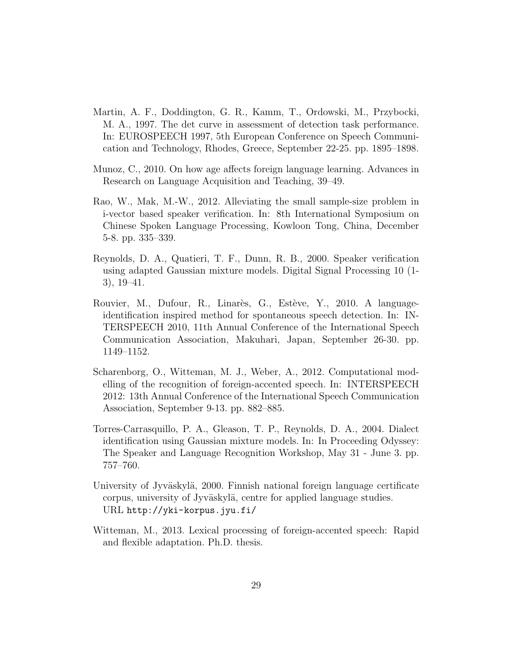- <span id="page-28-7"></span>Martin, A. F., Doddington, G. R., Kamm, T., Ordowski, M., Przybocki, M. A., 1997. The det curve in assessment of detection task performance. In: EUROSPEECH 1997, 5th European Conference on Speech Communication and Technology, Rhodes, Greece, September 22-25. pp. 1895–1898.
- <span id="page-28-3"></span>Munoz, C., 2010. On how age affects foreign language learning. Advances in Research on Language Acquisition and Teaching, 39–49.
- <span id="page-28-5"></span>Rao, W., Mak, M.-W., 2012. Alleviating the small sample-size problem in i-vector based speaker verification. In: 8th International Symposium on Chinese Spoken Language Processing, Kowloon Tong, China, December 5-8. pp. 335–339.
- <span id="page-28-8"></span>Reynolds, D. A., Quatieri, T. F., Dunn, R. B., 2000. Speaker verification using adapted Gaussian mixture models. Digital Signal Processing 10 (1- 3), 19–41.
- <span id="page-28-4"></span>Rouvier, M., Dufour, R., Linarès, G., Estève, Y., 2010. A languageidentification inspired method for spontaneous speech detection. In: IN-TERSPEECH 2010, 11th Annual Conference of the International Speech Communication Association, Makuhari, Japan, September 26-30. pp. 1149–1152.
- <span id="page-28-1"></span>Scharenborg, O., Witteman, M. J., Weber, A., 2012. Computational modelling of the recognition of foreign-accented speech. In: INTERSPEECH 2012: 13th Annual Conference of the International Speech Communication Association, September 9-13. pp. 882–885.
- <span id="page-28-2"></span>Torres-Carrasquillo, P. A., Gleason, T. P., Reynolds, D. A., 2004. Dialect identification using Gaussian mixture models. In: In Proceeding Odyssey: The Speaker and Language Recognition Workshop, May 31 - June 3. pp. 757–760.
- <span id="page-28-6"></span>University of Jyväskylä, 2000. Finnish national foreign language certificate corpus, university of Jyväskylä, centre for applied language studies. URL <http://yki-korpus.jyu.fi/>
- <span id="page-28-0"></span>Witteman, M., 2013. Lexical processing of foreign-accented speech: Rapid and flexible adaptation. Ph.D. thesis.